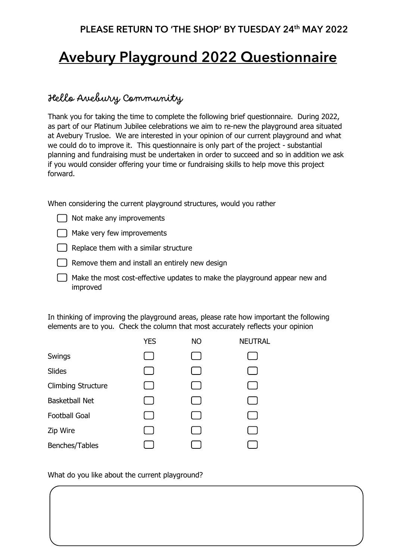## PLEASE RETURN TO 'THE SHOP' BY TUESDAY 24<sup>th</sup> MAY 2022

## Avebury Playground 2022 Questionnaire

## Hello Avebury Community

Thank you for taking the time to complete the following brief questionnaire. During 2022, as part of our Platinum Jubilee celebrations we aim to re-new the playground area situated at Avebury Trusloe. We are interested in your opinion of our current playground and what we could do to improve it. This questionnaire is only part of the project - substantial planning and fundraising must be undertaken in order to succeed and so in addition we ask if you would consider offering your time or fundraising skills to help move this project forward.

When considering the current playground structures, would you rather

- $\Box$  Not make any improvements
- Make very few improvements
- $\Box$  Replace them with a similar structure
- $\Box$  Remove them and install an entirely new design
- $\Box$  Make the most cost-effective updates to make the playground appear new and improved

In thinking of improving the playground areas, please rate how important the following elements are to you. Check the column that most accurately reflects your opinion

|                           | YES | ΝO | <b>NEUTRAL</b> |
|---------------------------|-----|----|----------------|
| Swings                    |     |    |                |
| Slides                    |     |    |                |
| <b>Climbing Structure</b> |     |    |                |
| <b>Basketball Net</b>     |     |    |                |
| <b>Football Goal</b>      |     |    |                |
| Zip Wire                  |     |    |                |
| Benches/Tables            |     |    |                |
|                           |     |    |                |

## What do you like about the current playground?